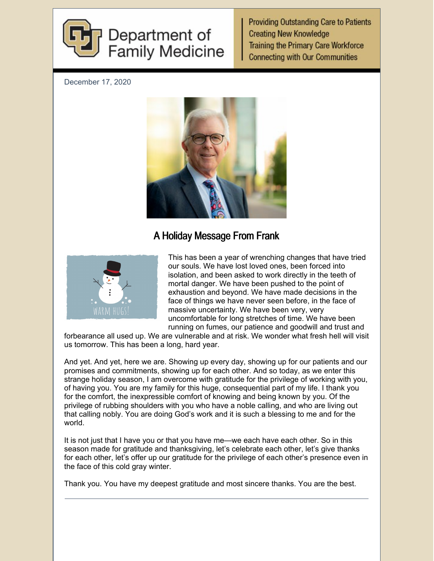

**Providing Outstanding Care to Patients Creating New Knowledge Training the Primary Care Workforce Connecting with Our Communities** 

December 17, 2020



## A Holiday Message From Frank



This has been a year of wrenching changes that have tried our souls. We have lost loved ones, been forced into isolation, and been asked to work directly in the teeth of mortal danger. We have been pushed to the point of exhaustion and beyond. We have made decisions in the face of things we have never seen before, in the face of massive uncertainty. We have been very, very uncomfortable for long stretches of time. We have been running on fumes, our patience and goodwill and trust and

forbearance all used up. We are vulnerable and at risk. We wonder what fresh hell will visit us tomorrow. This has been a long, hard year.

And yet. And yet, here we are. Showing up every day, showing up for our patients and our promises and commitments, showing up for each other. And so today, as we enter this strange holiday season, I am overcome with gratitude for the privilege of working with you, of having you. You are my family for this huge, consequential part of my life. I thank you for the comfort, the inexpressible comfort of knowing and being known by you. Of the privilege of rubbing shoulders with you who have a noble calling, and who are living out that calling nobly. You are doing God's work and it is such a blessing to me and for the world.

It is not just that I have you or that you have me—we each have each other. So in this season made for gratitude and thanksgiving, let's celebrate each other, let's give thanks for each other, let's offer up our gratitude for the privilege of each other's presence even in the face of this cold gray winter.

Thank you. You have my deepest gratitude and most sincere thanks. You are the best.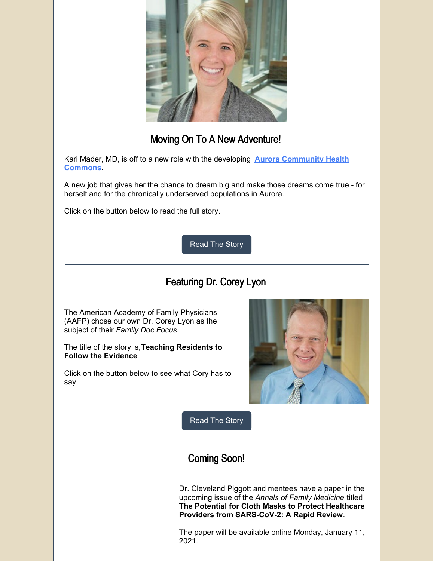

## Moving On To A New Adventure!

Kari Mader, MD, is off to a new role with the developing **Aurora [Community](https://news.cuanschutz.edu/news-stories/cu-partners-with-salud-to-open-clinic-in-aurora) Health Commons**.

A new job that gives her the chance to dream big and make those dreams come true - for herself and for the chronically underserved populations in Aurora.

Click on the button below to read the full story.

[Read](https://medschool.cuanschutz.edu/family-medicine/about/news/communication-hub/family-medicine-leader-makes-big-move) The Story

# Featuring Dr. Corey Lyon

The American Academy of Family Physicians (AAFP) chose our own Dr, Corey Lyon as the subject of their *Family Doc Focus.*

The title of the story is,**Teaching Residents to Follow the Evidence**.

Click on the button below to see what Cory has to say.



[Read](https://www.aafp.org/news/family-doc-focus/20201214fdf-lyon.html?fbclid=IwAR3YdQWpgqWt2kd0ox1s4Ko4VMLSEhK6wrj75H9zQL1Dey7sCF1INdUsmQg) The Story

## Coming Soon!

Dr. Cleveland Piggott and mentees have a paper in the upcoming issue of the *Annals of Family Medicine* titled **The Potential for Cloth Masks to Protect Healthcare Providers from SARS-CoV-2: A Rapid Review**.

The paper will be available online Monday, January 11, 2021.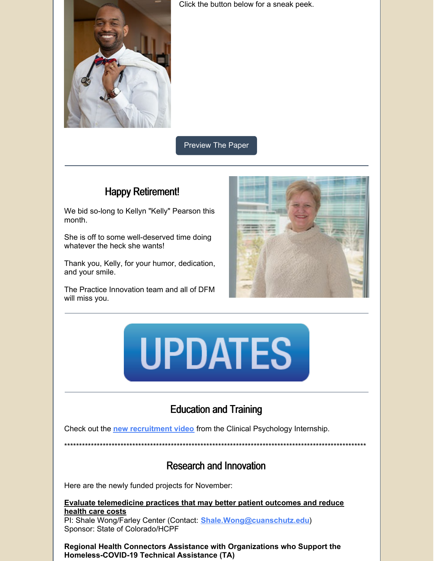

Click the button below for a sneak peek.

**Preview The Paper** 

## **Happy Retirement!**

We bid so-long to Kellyn "Kelly" Pearson this month.

She is off to some well-deserved time doing whatever the heck she wants!

Thank you, Kelly, for your humor, dedication, and your smile.

The Practice Innovation team and all of DFM will miss you.





# **Education and Training**

Check out the new recruitment video from the Clinical Psychology Internship.

**Research and Innovation** 

Here are the newly funded projects for November:

**Evaluate telemedicine practices that may better patient outcomes and reduce** health care costs

PI: Shale Wong/Farley Center (Contact: Shale.Wong@cuanschutz.edu) Sponsor: State of Colorado/HCPF

Regional Health Connectors Assistance with Organizations who Support the Homeless-COVID-19 Technical Assistance (TA)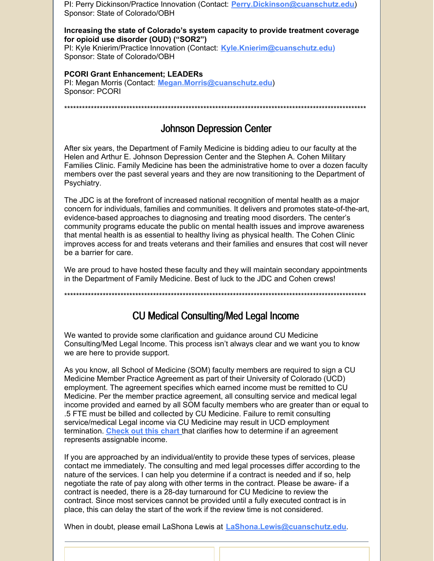PI: Perry Dickinson/Practice Innovation (Contact: Perry.Dickinson@cuanschutz.edu) Sponsor: State of Colorado/OBH

#### Increasing the state of Colorado's system capacity to provide treatment coverage for opioid use disorder (OUD) ("SOR2")

PI: Kyle Knierim/Practice Innovation (Contact: Kyle.Knierim@cuanschutz.edu) Sponsor: State of Colorado/OBH

#### **PCORI Grant Enhancement: LEADERs**

PI: Megan Morris (Contact: Megan.Morris@cuanschutz.edu) Sponsor: PCORI

### **Johnson Depression Center**

After six years, the Department of Family Medicine is bidding adieu to our faculty at the Helen and Arthur E. Johnson Depression Center and the Stephen A. Cohen Military Families Clinic. Family Medicine has been the administrative home to over a dozen faculty members over the past several years and they are now transitioning to the Department of Psychiatry.

The JDC is at the forefront of increased national recognition of mental health as a major concern for individuals, families and communities. It delivers and promotes state-of-the-art, evidence-based approaches to diagnosing and treating mood disorders. The center's community programs educate the public on mental health issues and improve awareness that mental health is as essential to healthy living as physical health. The Cohen Clinic improves access for and treats veterans and their families and ensures that cost will never be a barrier for care

We are proud to have hosted these faculty and they will maintain secondary appointments in the Department of Family Medicine. Best of luck to the JDC and Cohen crews!

## **CU Medical Consulting/Med Legal Income**

We wanted to provide some clarification and guidance around CU Medicine Consulting/Med Legal Income. This process isn't always clear and we want you to know we are here to provide support.

As you know, all School of Medicine (SOM) faculty members are required to sign a CU Medicine Member Practice Agreement as part of their University of Colorado (UCD) employment. The agreement specifies which earned income must be remitted to CU Medicine. Per the member practice agreement, all consulting service and medical legal income provided and earned by all SOM faculty members who are greater than or equal to .5 FTE must be billed and collected by CU Medicine. Failure to remit consulting service/medical Legal income via CU Medicine may result in UCD employment termination. Check out this chart that clarifies how to determine if an agreement represents assignable income.

If you are approached by an individual/entity to provide these types of services, please contact me immediately. The consulting and med legal processes differ according to the nature of the services. I can help you determine if a contract is needed and if so, help negotiate the rate of pay along with other terms in the contract. Please be aware- if a contract is needed, there is a 28-day turnaround for CU Medicine to review the contract. Since most services cannot be provided until a fully executed contract is in place, this can delay the start of the work if the review time is not considered.

When in doubt, please email LaShona Lewis at LaShona.Lewis@cuanschutz.edu.